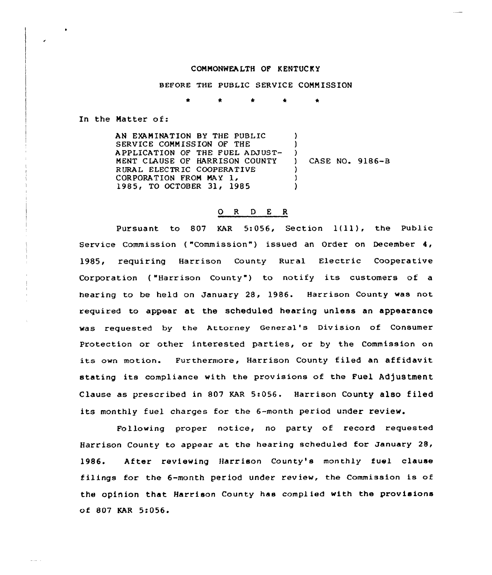## COMMONWEA LTH OF K ENTUC K Y

BEFORE THE PUBLIC SERVICE COMMISSION

\* \* <sup>4</sup> \*

In the Matter of:

AN EXAMINATION BY THE PUBLIC SERVICE COMMISSION OF THE APPLICATION OF THE FUEL ADJUST-MENT CLAUSE OF HARRISON COUNTY R URAL ELECTR IC COOPERATIVE CORPORATION FROM MAY 1, 1985, TO OCTOBER 31, 1985 ) )  $\left\{ \right\}$ ) CASE NQ. 9186-B ) ) )

## O R D E R

Pursuant to 807 KAR 5:056, Section 1(11), the Public Service Commission ("Commission") issued an Order on December 4, 1985, requiring Harrison County Rural Electric Cooperative Corporation ("Harrison County") to notify its customers of a hearing to be held on January 28, 1986. Harrison County was not required to appear at the scheduled hearing unless an appearance was requested by the Attorney General's Division af Consumer Protection or other interested parties, or by the Commission an its own motion. Furthermore, Harrison County filed an affidavit stating its compliance with the provisions of the Fuel Adjustment Clause as prescribed in 807 KAR 5:056. Harrison County also f iled its monthly fuel charges for the 6-month period under review.

Following proper notice, no party of record requested Harx ison County to appear at the hearing scheduled for January 28, 1986. After reviewing Harrison County's monthly fuel clause f ilings for the 6-month period under review, the Commission is of the opinion that Harrison County has complied with the provisions of 807 KAR 5:056